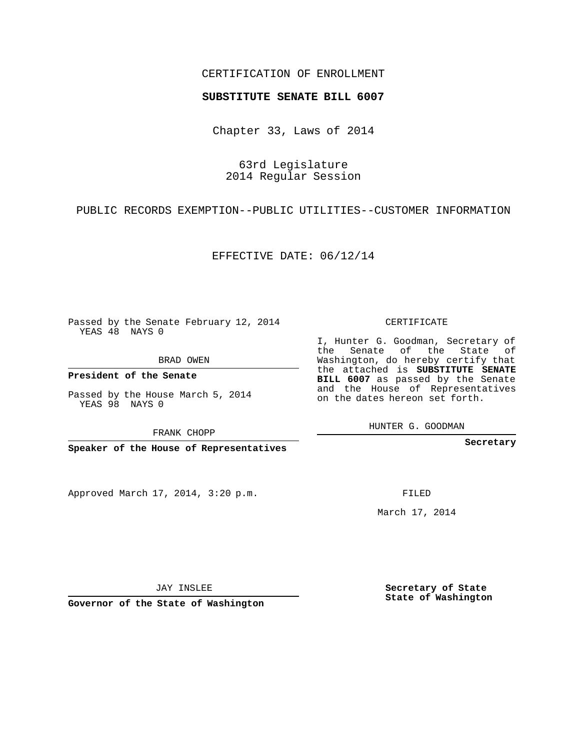## CERTIFICATION OF ENROLLMENT

## **SUBSTITUTE SENATE BILL 6007**

Chapter 33, Laws of 2014

63rd Legislature 2014 Regular Session

PUBLIC RECORDS EXEMPTION--PUBLIC UTILITIES--CUSTOMER INFORMATION

EFFECTIVE DATE: 06/12/14

Passed by the Senate February 12, 2014 YEAS 48 NAYS 0

BRAD OWEN

**President of the Senate**

Passed by the House March 5, 2014 YEAS 98 NAYS 0

FRANK CHOPP

**Speaker of the House of Representatives**

Approved March 17, 2014, 3:20 p.m.

CERTIFICATE

I, Hunter G. Goodman, Secretary of the Senate of the State of Washington, do hereby certify that the attached is **SUBSTITUTE SENATE BILL 6007** as passed by the Senate and the House of Representatives on the dates hereon set forth.

HUNTER G. GOODMAN

**Secretary**

FILED

March 17, 2014

**Secretary of State State of Washington**

JAY INSLEE

**Governor of the State of Washington**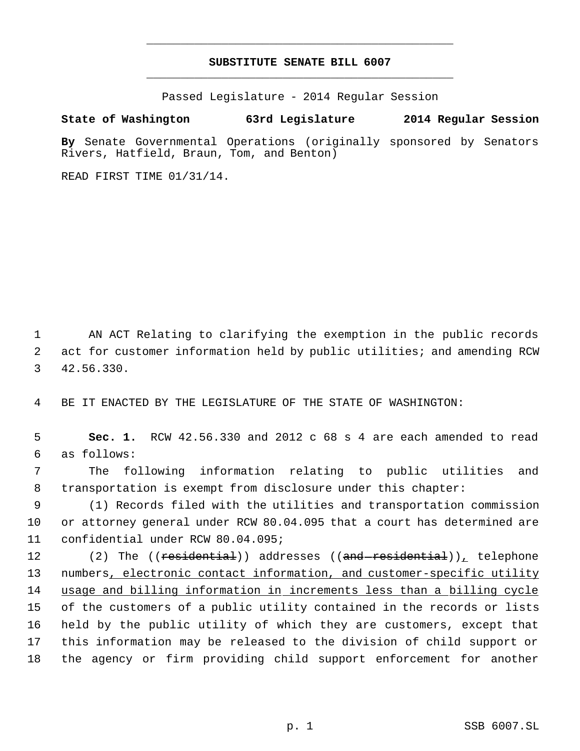## **SUBSTITUTE SENATE BILL 6007** \_\_\_\_\_\_\_\_\_\_\_\_\_\_\_\_\_\_\_\_\_\_\_\_\_\_\_\_\_\_\_\_\_\_\_\_\_\_\_\_\_\_\_\_\_

\_\_\_\_\_\_\_\_\_\_\_\_\_\_\_\_\_\_\_\_\_\_\_\_\_\_\_\_\_\_\_\_\_\_\_\_\_\_\_\_\_\_\_\_\_

Passed Legislature - 2014 Regular Session

## **State of Washington 63rd Legislature 2014 Regular Session**

**By** Senate Governmental Operations (originally sponsored by Senators Rivers, Hatfield, Braun, Tom, and Benton)

READ FIRST TIME 01/31/14.

 1 AN ACT Relating to clarifying the exemption in the public records 2 act for customer information held by public utilities; and amending RCW 3 42.56.330.

4 BE IT ENACTED BY THE LEGISLATURE OF THE STATE OF WASHINGTON:

 5 **Sec. 1.** RCW 42.56.330 and 2012 c 68 s 4 are each amended to read 6 as follows:

 7 The following information relating to public utilities and 8 transportation is exempt from disclosure under this chapter:

 9 (1) Records filed with the utilities and transportation commission 10 or attorney general under RCW 80.04.095 that a court has determined are 11 confidential under RCW 80.04.095;

12 (2) The ((<del>residential</del>)) addresses ((<del>and residential</del>)), telephone 13 numbers, electronic contact information, and customer-specific utility usage and billing information in increments less than a billing cycle of the customers of a public utility contained in the records or lists held by the public utility of which they are customers, except that this information may be released to the division of child support or the agency or firm providing child support enforcement for another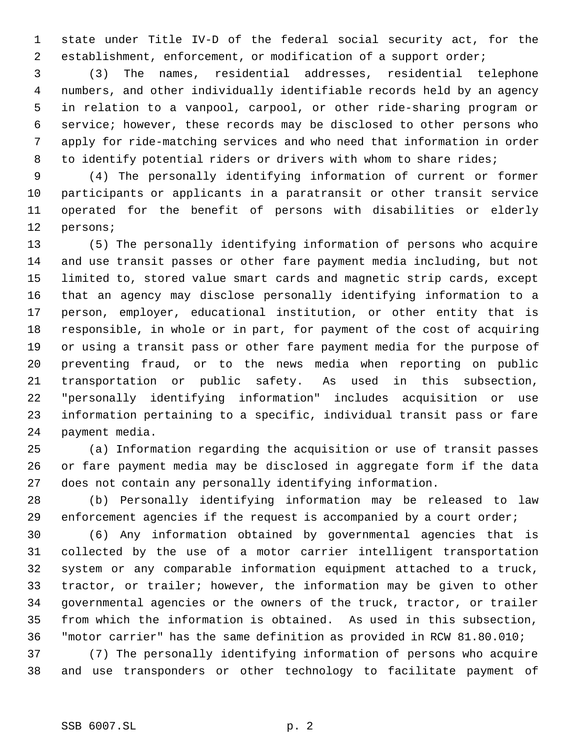state under Title IV-D of the federal social security act, for the establishment, enforcement, or modification of a support order;

 (3) The names, residential addresses, residential telephone numbers, and other individually identifiable records held by an agency in relation to a vanpool, carpool, or other ride-sharing program or service; however, these records may be disclosed to other persons who apply for ride-matching services and who need that information in order 8 to identify potential riders or drivers with whom to share rides;

 (4) The personally identifying information of current or former participants or applicants in a paratransit or other transit service operated for the benefit of persons with disabilities or elderly persons;

 (5) The personally identifying information of persons who acquire and use transit passes or other fare payment media including, but not limited to, stored value smart cards and magnetic strip cards, except that an agency may disclose personally identifying information to a person, employer, educational institution, or other entity that is responsible, in whole or in part, for payment of the cost of acquiring or using a transit pass or other fare payment media for the purpose of preventing fraud, or to the news media when reporting on public transportation or public safety. As used in this subsection, "personally identifying information" includes acquisition or use information pertaining to a specific, individual transit pass or fare payment media.

 (a) Information regarding the acquisition or use of transit passes or fare payment media may be disclosed in aggregate form if the data does not contain any personally identifying information.

 (b) Personally identifying information may be released to law enforcement agencies if the request is accompanied by a court order;

 (6) Any information obtained by governmental agencies that is collected by the use of a motor carrier intelligent transportation system or any comparable information equipment attached to a truck, tractor, or trailer; however, the information may be given to other governmental agencies or the owners of the truck, tractor, or trailer from which the information is obtained. As used in this subsection, "motor carrier" has the same definition as provided in RCW 81.80.010;

 (7) The personally identifying information of persons who acquire and use transponders or other technology to facilitate payment of